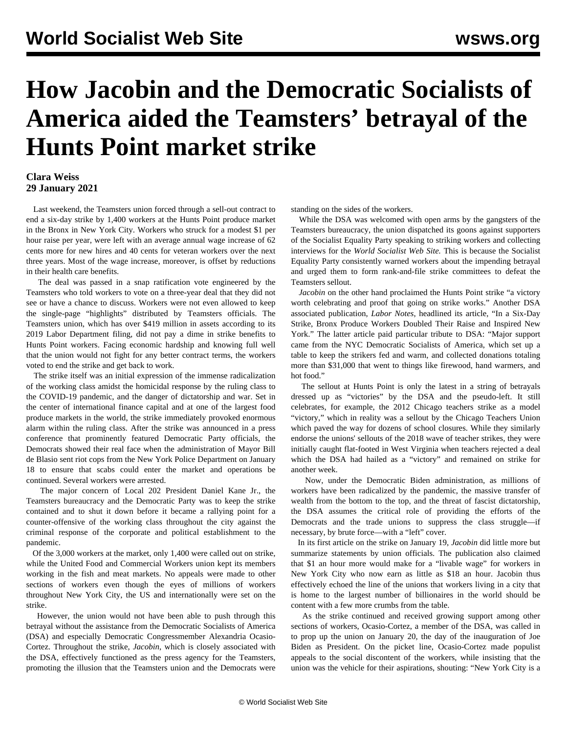## **How Jacobin and the Democratic Socialists of America aided the Teamsters' betrayal of the Hunts Point market strike**

## **Clara Weiss 29 January 2021**

 Last weekend, the Teamsters union forced through a sell-out contract to end a six-day strike by 1,400 workers at the Hunts Point produce market in the Bronx in New York City. Workers who struck for a modest \$1 per hour raise per year, were left with an average annual wage increase of 62 cents more for new hires and 40 cents for veteran workers over the next three years. Most of the wage increase, moreover, is offset by reductions in their health care benefits.

 The deal was passed in a snap ratification vote engineered by the Teamsters who told workers to vote on a three-year deal that they did not see or have a chance to discuss. Workers were not even allowed to keep the single-page "highlights" distributed by Teamsters officials. The Teamsters union, which has over \$419 million in assets according to its 2019 Labor Department filing, did not pay a dime in strike benefits to Hunts Point workers. Facing economic hardship and knowing full well that the union would not fight for any better contract terms, the workers voted to end the strike and get back to work.

 The strike itself was an initial expression of the immense radicalization of the working class amidst the homicidal response by the ruling class to the COVID-19 pandemic, and the danger of dictatorship and war. Set in the center of international finance capital and at one of the largest food produce markets in the world, the strike immediately provoked enormous alarm within the ruling class. After the strike was announced in a press conference that prominently featured Democratic Party officials, the Democrats showed their real face when the administration of Mayor Bill de Blasio sent riot cops from the New York Police Department on January 18 to ensure that scabs could enter the market and operations be continued. Several workers were arrested.

 The major concern of Local 202 President Daniel Kane Jr., the Teamsters bureaucracy and the Democratic Party was to keep the strike contained and to shut it down before it became a rallying point for a counter-offensive of the working class throughout the city against the criminal response of the corporate and political establishment to the pandemic.

 Of the 3,000 workers at the market, only 1,400 were called out on strike, while the United Food and Commercial Workers union kept its members working in the fish and meat markets. No appeals were made to other sections of workers even though the eyes of millions of workers throughout New York City, the US and internationally were set on the strike.

 However, the union would not have been able to push through this betrayal without the assistance from the Democratic Socialists of America (DSA) and especially Democratic Congressmember Alexandria Ocasio-Cortez. Throughout the strike, *Jacobin*, which is closely associated with the DSA, effectively functioned as the press agency for the Teamsters, promoting the illusion that the Teamsters union and the Democrats were standing on the sides of the workers.

 While the DSA was welcomed with open arms by the gangsters of the Teamsters bureaucracy, the union dispatched its goons against supporters of the Socialist Equality Party speaking to striking workers and collecting interviews for the *World Socialist Web Site.* This is because the Socialist Equality Party consistently warned workers about the impending betrayal and urged them to form rank-and-file strike committees to defeat the Teamsters sellout.

 *Jacobin* on the other hand proclaimed the Hunts Point strike "a victory worth celebrating and proof that going on strike works." Another DSA associated publication, *Labor Notes*, headlined its article, "In a Six-Day Strike, Bronx Produce Workers Doubled Their Raise and Inspired New York." The latter article paid particular tribute to DSA: "Major support came from the NYC Democratic Socialists of America, which set up a table to keep the strikers fed and warm, and collected donations totaling more than \$31,000 that went to things like firewood, hand warmers, and hot food."

 The sellout at Hunts Point is only the latest in a string of betrayals dressed up as "victories" by the DSA and the pseudo-left. It still celebrates, for example, the 2012 Chicago teachers strike as a model "victory," which in reality was a sellout by the Chicago Teachers Union which paved the way for dozens of school closures. While they similarly endorse the unions' sellouts of the 2018 wave of teacher strikes, they were initially caught flat-footed in West Virginia when teachers rejected a deal which the DSA had hailed as a "victory" and remained on strike for another week.

 Now, under the Democratic Biden administration, as millions of workers have been radicalized by the pandemic, the massive transfer of wealth from the bottom to the top, and the threat of fascist dictatorship, the DSA assumes the critical role of providing the efforts of the Democrats and the trade unions to suppress the class struggle—if necessary, by brute force—with a "left" cover.

 In its first article on the strike on January 19, *Jacobin* did little more but summarize statements by union officials. The publication also claimed that \$1 an hour more would make for a "livable wage" for workers in New York City who now earn as little as \$18 an hour. Jacobin thus effectively echoed the line of the unions that workers living in a city that is home to the largest number of billionaires in the world should be content with a few more crumbs from the table.

 As the strike continued and received growing support among other sections of workers, Ocasio-Cortez, a member of the DSA, was called in to prop up the union on January 20, the day of the inauguration of Joe Biden as President. On the picket line, Ocasio-Cortez made populist appeals to the social discontent of the workers, while insisting that the union was the vehicle for their aspirations, shouting: "New York City is a